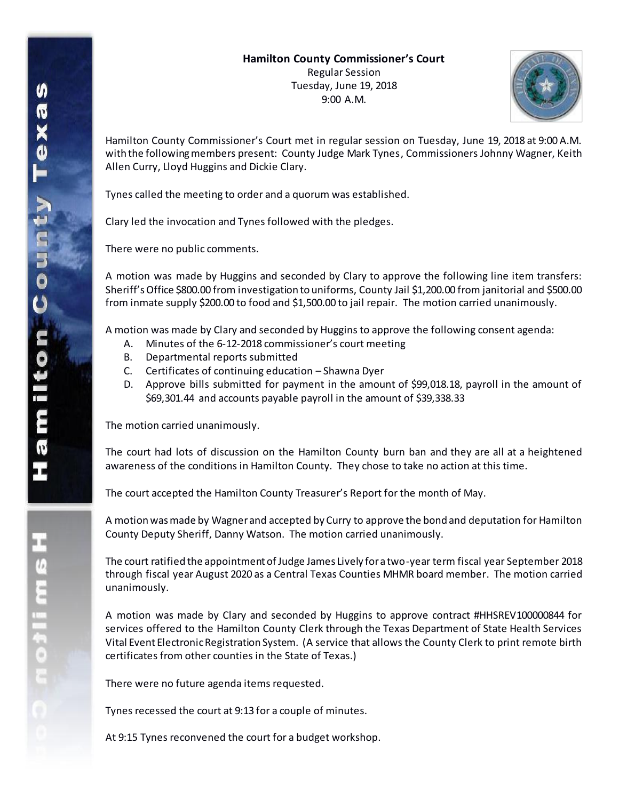

Hamilton County Commissioner's Court met in regular session on Tuesday, June 19, 2018 at 9:00 A.M. with the following members present: County Judge Mark Tynes, Commissioners Johnny Wagner, Keith Allen Curry, Lloyd Huggins and Dickie Clary.

Tynes called the meeting to order and a quorum was established.

Clary led the invocation and Tynes followed with the pledges.

There were no public comments.

A motion was made by Huggins and seconded by Clary to approve the following line item transfers: Sheriff's Office \$800.00 from investigation to uniforms, County Jail \$1,200.00 from janitorial and \$500.00 from inmate supply \$200.00 to food and \$1,500.00 to jail repair. The motion carried unanimously.

A motion was made by Clary and seconded by Huggins to approve the following consent agenda:

- A. Minutes of the 6-12-2018 commissioner's court meeting
- B. Departmental reports submitted
- C. Certificates of continuing education Shawna Dyer
- D. Approve bills submitted for payment in the amount of \$99,018.18, payroll in the amount of \$69,301.44 and accounts payable payroll in the amount of \$39,338.33

The motion carried unanimously.

The court had lots of discussion on the Hamilton County burn ban and they are all at a heightened awareness of the conditions in Hamilton County. They chose to take no action at this time.

The court accepted the Hamilton County Treasurer's Report for the month of May.

A motion was made by Wagner and accepted by Curry to approve the bond and deputation for Hamilton County Deputy Sheriff, Danny Watson. The motion carried unanimously.

The court ratified the appointment of Judge James Lively for a two-year term fiscal year September 2018 through fiscal year August 2020 as a Central Texas Counties MHMR board member. The motion carried unanimously.

A motion was made by Clary and seconded by Huggins to approve contract #HHSREV100000844 for services offered to the Hamilton County Clerk through the Texas Department of State Health Services Vital Event Electronic Registration System. (A service that allows the County Clerk to print remote birth certificates from other counties in the State of Texas.)

There were no future agenda items requested.

Tynes recessed the court at 9:13 for a couple of minutes.

At 9:15 Tynes reconvened the court for a budget workshop.